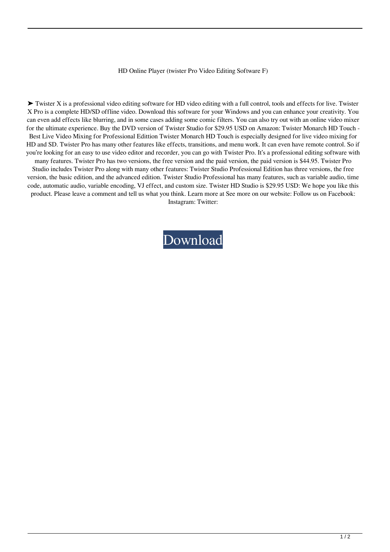## HD Online Player (twister Pro Video Editing Software F)

▶ Twister X is a professional video editing software for HD video editing with a full control, tools and effects for live. Twister X Pro is a complete HD/SD offline video. Download this software for your Windows and you can enhance your creativity. You can even add effects like blurring, and in some cases adding some comic filters. You can also try out with an online video mixer for the ultimate experience. Buy the DVD version of Twister Studio for \$29.95 USD on Amazon: Twister Monarch HD Touch - Best Live Video Mixing for Professional Edittion Twister Monarch HD Touch is especially designed for live video mixing for HD and SD. Twister Pro has many other features like effects, transitions, and menu work. It can even have remote control. So if you're looking for an easy to use video editor and recorder, you can go with Twister Pro. It's a professional editing software with

many features. Twister Pro has two versions, the free version and the paid version, the paid version is \$44.95. Twister Pro Studio includes Twister Pro along with many other features: Twister Studio Professional Edition has three versions, the free version, the basic edition, and the advanced edition. Twister Studio Professional has many features, such as variable audio, time code, automatic audio, variable encoding, VJ effect, and custom size. Twister HD Studio is \$29.95 USD: We hope you like this product. Please leave a comment and tell us what you think. Learn more at See more on our website: Follow us on Facebook: Instagram: Twitter:

[Download](http://evacdir.com/yesses/ZG93bmxvYWR8bDl4TW5kNmJYeDhNVFkxTWpjME1EZzJObng4TWpVM05IeDhLRTBwSUhKbFlXUXRZbXh2WnlCYlJtRnpkQ0JIUlU1ZA/concentrator/SEQgT25saW5lIFBsYXllciAodHdpc3RlciBwcm8gdmlkZW8gZWRpdGluZyBzb2Z0d2FyZSBmKQSEQ/?enquiries=&onus=differs)